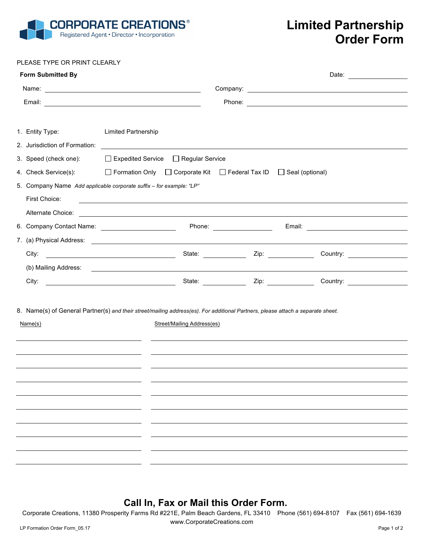

## **Limited Partnership Order Form**

PLEASE TYPE OR PRINT CLEARLY

| <b>Form Submitted By</b> |                                                                                                                                 |                        | Date: |
|--------------------------|---------------------------------------------------------------------------------------------------------------------------------|------------------------|-------|
|                          |                                                                                                                                 |                        |       |
|                          |                                                                                                                                 |                        |       |
|                          |                                                                                                                                 |                        |       |
| 1. Entity Type:          | <b>Limited Partnership</b>                                                                                                      |                        |       |
|                          |                                                                                                                                 |                        |       |
|                          | 3. Speed (check one): □ Expedited Service □ Regular Service                                                                     |                        |       |
| 4. Check Service(s):     | □ Formation Only □ Corporate Kit □ Federal Tax ID                                                                               | $\Box$ Seal (optional) |       |
|                          | 5. Company Name Add applicable corporate suffix - for example: "LP"                                                             |                        |       |
| First Choice:            | ,我们也不会有什么。""我们的人,我们也不会有什么?""我们的人,我们也不会有什么?""我们的人,我们也不会有什么?""我们的人,我们也不会有什么?""我们的人                                                |                        |       |
| Alternate Choice:        | <u> 1989 - Johann Barn, fransk politik amerikansk politik (d. 1989)</u>                                                         |                        |       |
|                          |                                                                                                                                 |                        |       |
|                          |                                                                                                                                 |                        |       |
| City:                    |                                                                                                                                 |                        |       |
|                          |                                                                                                                                 |                        |       |
| City:                    | Country: 1990 Country: 1990 Country: 1990 Material Country: 1990 Material Country: 1990 Material Country: 1990                  |                        |       |
|                          |                                                                                                                                 |                        |       |
|                          | 8. Name(s) of General Partner(s) and their street/mailing address(es). For additional Partners, please attach a separate sheet. |                        |       |
| Name(s)                  | <b>Street/Mailing Address(es)</b>                                                                                               |                        |       |
|                          |                                                                                                                                 |                        |       |
|                          |                                                                                                                                 |                        |       |
|                          |                                                                                                                                 |                        |       |
|                          |                                                                                                                                 |                        |       |
|                          |                                                                                                                                 |                        |       |
|                          |                                                                                                                                 |                        |       |
|                          |                                                                                                                                 |                        |       |
|                          |                                                                                                                                 |                        |       |
|                          |                                                                                                                                 |                        |       |
|                          |                                                                                                                                 |                        |       |
|                          |                                                                                                                                 |                        |       |

## **Call In, Fax or Mail this Order Form.**

Corporate Creations, 11380 Prosperity Farms Rd #221E, Palm Beach Gardens, FL 33410 Phone (561) 694-8107 Fax (561) 694-1639

www.CorporateCreations.com